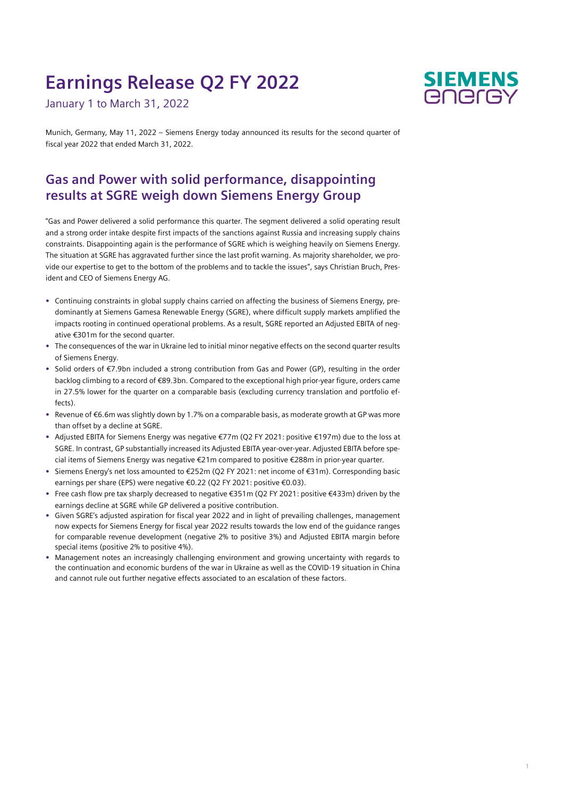# **Earnings Release Q2 FY 2022**

January 1 to March 31, 2022



Munich, Germany, May 11, 2022 – Siemens Energy today announced its results for the second quarter of fiscal year 2022 that ended March 31, 2022.

## **Gas and Power with solid performance, disappointing results at SGRE weigh down Siemens Energy Group**

"Gas and Power delivered a solid performance this quarter. The segment delivered a solid operating result and a strong order intake despite first impacts of the sanctions against Russia and increasing supply chains constraints. Disappointing again is the performance of SGRE which is weighing heavily on Siemens Energy. The situation at SGRE has aggravated further since the last profit warning. As majority shareholder, we provide our expertise to get to the bottom of the problems and to tackle the issues", says Christian Bruch, President and CEO of Siemens Energy AG.

- **•** Continuing constraints in global supply chains carried on affecting the business of Siemens Energy, predominantly at Siemens Gamesa Renewable Energy (SGRE), where difficult supply markets amplified the impacts rooting in continued operational problems. As a result, SGRE reported an Adjusted EBITA of negative €301m for the second quarter.
- **•** The consequences of the war in Ukraine led to initial minor negative effects on the second quarter results of Siemens Energy.
- **•** Solid orders of €7.9bn included a strong contribution from Gas and Power (GP), resulting in the order backlog climbing to a record of €89.3bn. Compared to the exceptional high prior-year figure, orders came in 27.5% lower for the quarter on a comparable basis (excluding currency translation and portfolio effects).
- **•** Revenue of €6.6m was slightly down by 1.7% on a comparable basis, as moderate growth at GP was more than offset by a decline at SGRE.
- **•** Adjusted EBITA for Siemens Energy was negative €77m (Q2 FY 2021: positive €197m) due to the loss at SGRE. In contrast, GP substantially increased its Adjusted EBITA year-over-year. Adjusted EBITA before special items of Siemens Energy was negative €21m compared to positive €288m in prior-year quarter.
- **•** Siemens Energy's net loss amounted to €252m (Q2 FY 2021: net income of €31m). Corresponding basic earnings per share (EPS) were negative €0.22 (Q2 FY 2021: positive €0.03).
- **•** Free cash flow pre tax sharply decreased to negative €351m (Q2 FY 2021: positive €433m) driven by the earnings decline at SGRE while GP delivered a positive contribution.
- **•** Given SGRE's adjusted aspiration for fiscal year 2022 and in light of prevailing challenges, management now expects for Siemens Energy for fiscal year 2022 results towards the low end of the guidance ranges for comparable revenue development (negative 2% to positive 3%) and Adjusted EBITA margin before special items (positive 2% to positive 4%).
- **•** Management notes an increasingly challenging environment and growing uncertainty with regards to the continuation and economic burdens of the war in Ukraine as well as the COVID-19 situation in China and cannot rule out further negative effects associated to an escalation of these factors.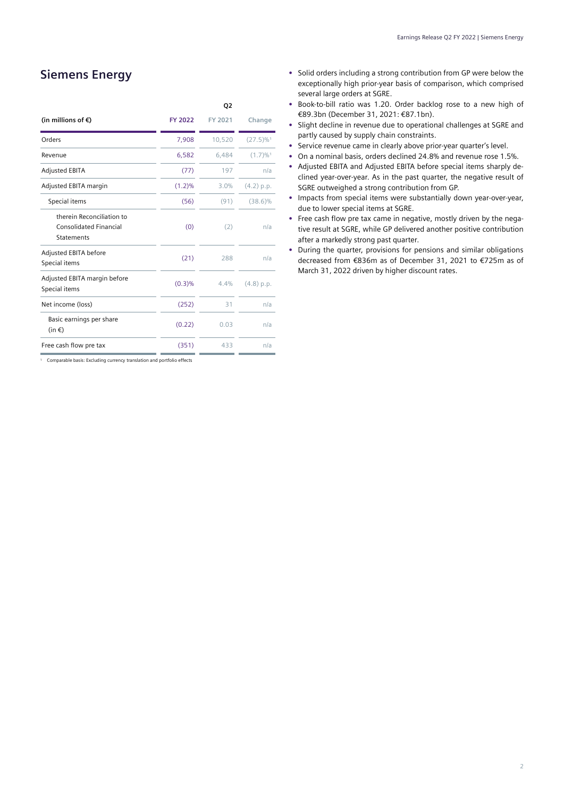## **Siemens Energy**

|                                                                                 |         | Q2      |                         |
|---------------------------------------------------------------------------------|---------|---------|-------------------------|
| (in millions of €)                                                              | FY 2022 | FY 2021 | Change                  |
| Orders                                                                          | 7,908   | 10,520  | $(27.5)\%$ <sup>1</sup> |
| Revenue                                                                         | 6,582   | 6,484   | $(1.7) \%$ <sup>1</sup> |
| <b>Adjusted EBITA</b>                                                           | (77)    | 197     | n/a                     |
| Adjusted EBITA margin                                                           | (1.2)%  | 3.0%    | (4.2) p.p.              |
| Special items                                                                   | (56)    | (91)    | $(38.6)\%$              |
| therein Reconciliation to<br><b>Consolidated Financial</b><br><b>Statements</b> | (0)     | (2)     | n/a                     |
| Adjusted EBITA before<br>Special items                                          | (21)    | 288     | n/a                     |
| Adjusted EBITA margin before<br>Special items                                   | (0.3)%  | 4.4%    | (4.8) p.p.              |
| Net income (loss)                                                               | (252)   | 31      | n/a                     |
| Basic earnings per share<br>$(in \in)$                                          | (0.22)  | 0.03    | n/a                     |
| Free cash flow pre tax                                                          | (351)   | 433     | n/a                     |

<sup>1</sup> Comparable basis: Excluding currency translation and portfolio effects

- **•** Solid orders including a strong contribution from GP were below the exceptionally high prior-year basis of comparison, which comprised several large orders at SGRE.
- **•** Book-to-bill ratio was 1.20. Order backlog rose to a new high of €89.3bn (December 31, 2021: €87.1bn).
- **•** Slight decline in revenue due to operational challenges at SGRE and partly caused by supply chain constraints.
- **•** Service revenue came in clearly above prior-year quarter's level.
- **•** On a nominal basis, orders declined 24.8% and revenue rose 1.5%.
- **•** Adjusted EBITA and Adjusted EBITA before special items sharply declined year-over-year. As in the past quarter, the negative result of SGRE outweighed a strong contribution from GP.
- **•** Impacts from special items were substantially down year-over-year, due to lower special items at SGRE.
- **•** Free cash flow pre tax came in negative, mostly driven by the negative result at SGRE, while GP delivered another positive contribution after a markedly strong past quarter.
- **•** During the quarter, provisions for pensions and similar obligations decreased from €836m as of December 31, 2021 to €725m as of March 31, 2022 driven by higher discount rates.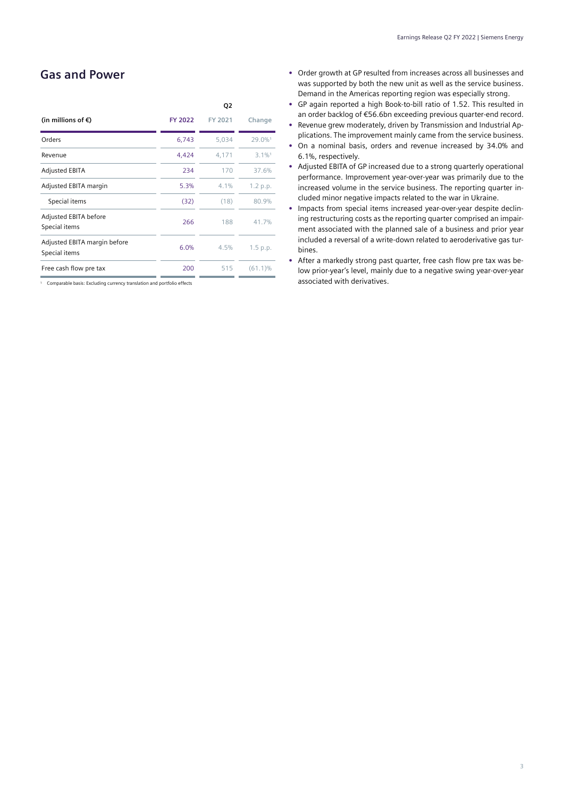## **Gas and Power**

|                                               |         | Q2      |                      |
|-----------------------------------------------|---------|---------|----------------------|
| (in millions of $\epsilon$ )                  | FY 2022 | FY 2021 | Change               |
| Orders                                        | 6,743   | 5,034   | 29.0%1               |
| Revenue                                       | 4,424   | 4.171   | $3.1\%$ <sup>1</sup> |
| <b>Adjusted EBITA</b>                         | 234     | 170     | 37.6%                |
| Adjusted EBITA margin                         | 5.3%    | 4.1%    | 1.2 p.p.             |
| Special items                                 | (32)    | (18)    | 80.9%                |
| Adjusted EBITA before<br>Special items        | 266     | 188     | 41.7%                |
| Adjusted EBITA margin before<br>Special items | 6.0%    | 4.5%    | 1.5 p.p.             |
| Free cash flow pre tax                        | 200     | 515     | $(61.1)\%$           |
|                                               |         |         |                      |

<sup>1</sup> Comparable basis: Excluding currency translation and portfolio effects

- **•** Order growth at GP resulted from increases across all businesses and was supported by both the new unit as well as the service business. Demand in the Americas reporting region was especially strong.
- **•** GP again reported a high Book-to-bill ratio of 1.52. This resulted in an order backlog of €56.6bn exceeding previous quarter-end record.
- **•** Revenue grew moderately, driven by Transmission and Industrial Applications. The improvement mainly came from the service business.
- **•** On a nominal basis, orders and revenue increased by 34.0% and 6.1%, respectively.
- **•** Adjusted EBITA of GP increased due to a strong quarterly operational performance. Improvement year-over-year was primarily due to the increased volume in the service business. The reporting quarter included minor negative impacts related to the war in Ukraine.
- **•** Impacts from special items increased year-over-year despite declining restructuring costs as the reporting quarter comprised an impairment associated with the planned sale of a business and prior year included a reversal of a write-down related to aeroderivative gas turbines.
- **•** After a markedly strong past quarter, free cash flow pre tax was below prior-year's level, mainly due to a negative swing year-over-year associated with derivatives.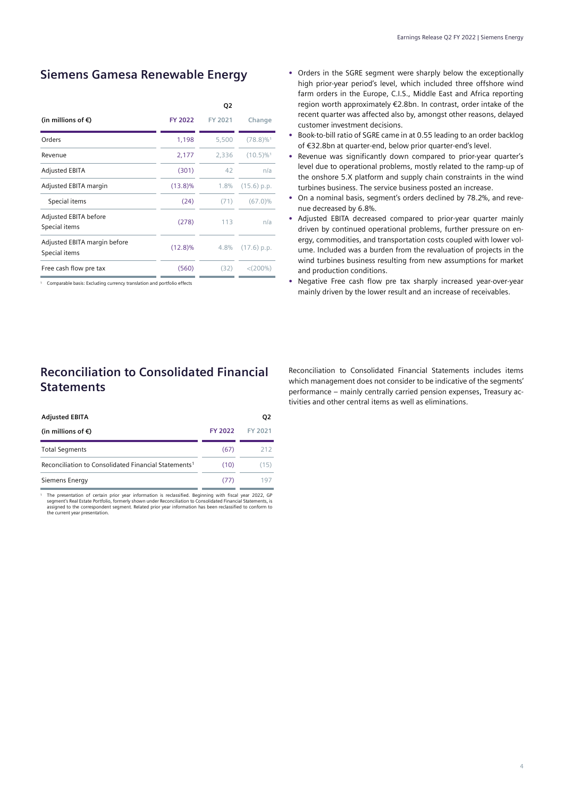## **Siemens Gamesa Renewable Energy**

|                                               |            | Q2      |                         |
|-----------------------------------------------|------------|---------|-------------------------|
| (in millions of $\epsilon$ )                  | FY 2022    | FY 2021 | Change                  |
| Orders                                        | 1,198      | 5,500   | $(78.8)\%$ <sup>1</sup> |
| Revenue                                       | 2,177      | 2,336   | $(10.5)\%$ <sup>1</sup> |
| <b>Adjusted EBITA</b>                         | (301)      | 42      | n/a                     |
| Adjusted EBITA margin                         | $(13.8)\%$ | 1.8%    | $(15.6)$ p.p.           |
| Special items                                 | (24)       | (71)    | $(67.0)\%$              |
| Adjusted EBITA before<br>Special items        | (278)      | 113     | n/a                     |
| Adjusted EBITA margin before<br>Special items | $(12.8)\%$ | 4.8%    | $(17.6)$ p.p.           |
| Free cash flow pre tax                        | (560)      | (32)    | $<$ (200%)              |
|                                               |            |         |                         |

<sup>1</sup> Comparable basis: Excluding currency translation and portfolio effects

## **Reconciliation to Consolidated Financial Statements**

| <b>Adjusted EBITA</b>                                            |         | Q <sub>2</sub> |
|------------------------------------------------------------------|---------|----------------|
| (in millions of $\epsilon$ )                                     | FY 2022 | FY 2021        |
| <b>Total Segments</b>                                            | (67)    | 212            |
| Reconciliation to Consolidated Financial Statements <sup>1</sup> | (10)    | (15)           |
| Siemens Energy                                                   | (77)    | 197            |
|                                                                  |         |                |

The presentation of certain prior year information is reclassified. Beginning with fiscal year 2022, GP segment's Real Estate Portfolio, formerly shown under Reconciliation to Consolidated Financial Statements, is assigned

- **•** Orders in the SGRE segment were sharply below the exceptionally high prior-year period's level, which included three offshore wind farm orders in the Europe, C.I.S., Middle East and Africa reporting region worth approximately €2.8bn. In contrast, order intake of the recent quarter was affected also by, amongst other reasons, delayed customer investment decisions.
- **•** Book-to-bill ratio of SGRE came in at 0.55 leading to an order backlog of €32.8bn at quarter-end, below prior quarter-end's level.
- **•** Revenue was significantly down compared to prior-year quarter's level due to operational problems, mostly related to the ramp-up of the onshore 5.X platform and supply chain constraints in the wind turbines business. The service business posted an increase.
- **•** On a nominal basis, segment's orders declined by 78.2%, and revenue decreased by 6.8%.
- **•** Adjusted EBITA decreased compared to prior-year quarter mainly driven by continued operational problems, further pressure on energy, commodities, and transportation costs coupled with lower volume. Included was a burden from the revaluation of projects in the wind turbines business resulting from new assumptions for market and production conditions.
- **•** Negative Free cash flow pre tax sharply increased year-over-year mainly driven by the lower result and an increase of receivables.

Reconciliation to Consolidated Financial Statements includes items which management does not consider to be indicative of the segments' performance – mainly centrally carried pension expenses, Treasury activities and other central items as well as eliminations.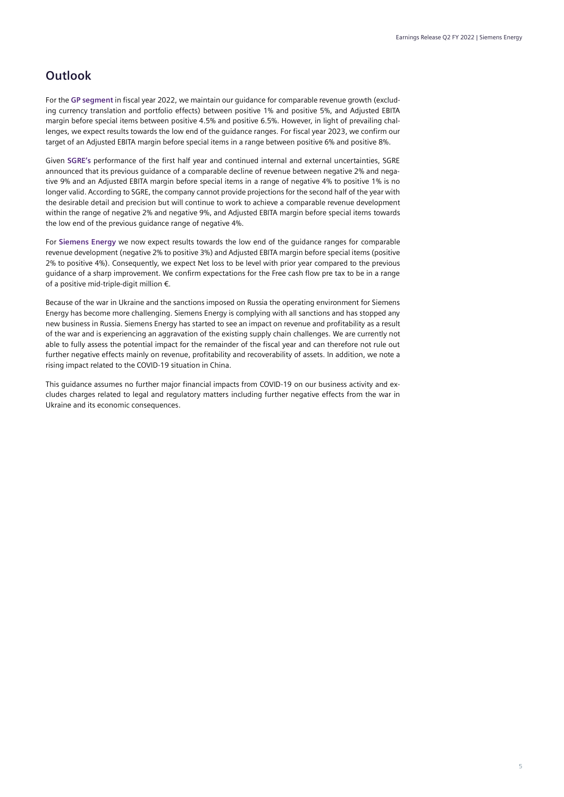## **Outlook**

For the **GP segment** in fiscal year 2022, we maintain our guidance for comparable revenue growth (excluding currency translation and portfolio effects) between positive 1% and positive 5%, and Adjusted EBITA margin before special items between positive 4.5% and positive 6.5%. However, in light of prevailing challenges, we expect results towards the low end of the guidance ranges. For fiscal year 2023, we confirm our target of an Adjusted EBITA margin before special items in a range between positive 6% and positive 8%.

Given **SGRE's** performance of the first half year and continued internal and external uncertainties, SGRE announced that its previous guidance of a comparable decline of revenue between negative 2% and negative 9% and an Adjusted EBITA margin before special items in a range of negative 4% to positive 1% is no longer valid. According to SGRE, the company cannot provide projections for the second half of the year with the desirable detail and precision but will continue to work to achieve a comparable revenue development within the range of negative 2% and negative 9%, and Adjusted EBITA margin before special items towards the low end of the previous guidance range of negative 4%.

For **Siemens Energy** we now expect results towards the low end of the guidance ranges for comparable revenue development (negative 2% to positive 3%) and Adjusted EBITA margin before special items (positive 2% to positive 4%). Consequently, we expect Net loss to be level with prior year compared to the previous guidance of a sharp improvement. We confirm expectations for the Free cash flow pre tax to be in a range of a positive mid-triple-digit million €.

Because of the war in Ukraine and the sanctions imposed on Russia the operating environment for Siemens Energy has become more challenging. Siemens Energy is complying with all sanctions and has stopped any new business in Russia. Siemens Energy has started to see an impact on revenue and profitability as a result of the war and is experiencing an aggravation of the existing supply chain challenges. We are currently not able to fully assess the potential impact for the remainder of the fiscal year and can therefore not rule out further negative effects mainly on revenue, profitability and recoverability of assets. In addition, we note a rising impact related to the COVID-19 situation in China.

This guidance assumes no further major financial impacts from COVID-19 on our business activity and excludes charges related to legal and regulatory matters including further negative effects from the war in Ukraine and its economic consequences.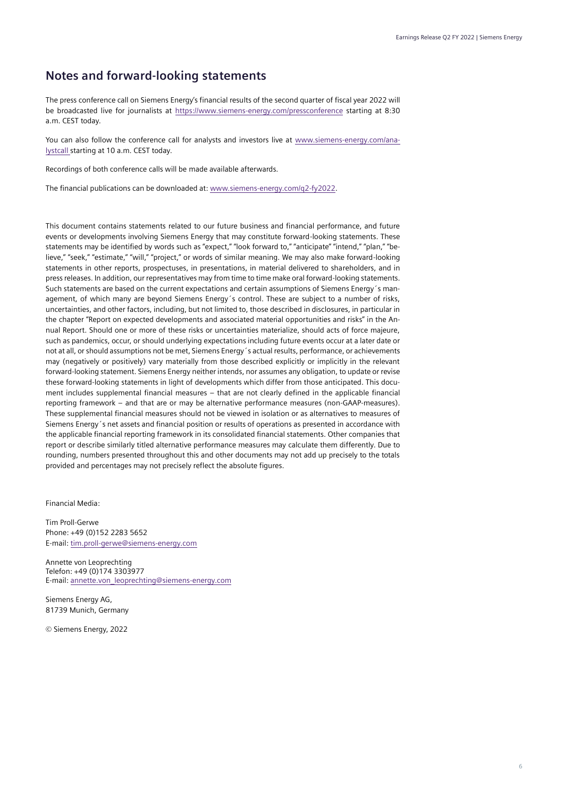### **Notes and forward-looking statements**

The press conference call on Siemens Energy's financial results of the second quarter of fiscal year 2022 will be broadcasted live for journalists at<https://www.siemens-energy.com/pressconference> starting at 8:30 a.m. CEST today.

You can also follow the conference call for analysts and investors live at www.siemens-energy.com/analystcall starting at 10 a.m. CEST today.

Recordings of both conference calls will be made available afterwards.

The financial publications can be downloaded at: www.siemens-energy.com/q2-fy2022.

This document contains statements related to our future business and financial performance, and future events or developments involving Siemens Energy that may constitute forward-looking statements. These statements may be identified by words such as "expect," "look forward to," "anticipate" "intend," "plan," "believe," "seek," "estimate," "will," "project," or words of similar meaning. We may also make forward-looking statements in other reports, prospectuses, in presentations, in material delivered to shareholders, and in press releases. In addition, our representatives may from time to time make oral forward-looking statements. Such statements are based on the current expectations and certain assumptions of Siemens Energy´s management, of which many are beyond Siemens Energy´s control. These are subject to a number of risks, uncertainties, and other factors, including, but not limited to, those described in disclosures, in particular in the chapter "Report on expected developments and associated material opportunities and risks" in the Annual Report. Should one or more of these risks or uncertainties materialize, should acts of force majeure, such as pandemics, occur, or should underlying expectations including future events occur at a later date or not at all, or should assumptions not be met, Siemens Energy´s actual results, performance, or achievements may (negatively or positively) vary materially from those described explicitly or implicitly in the relevant forward-looking statement. Siemens Energy neither intends, nor assumes any obligation, to update or revise these forward-looking statements in light of developments which differ from those anticipated. This document includes supplemental financial measures – that are not clearly defined in the applicable financial reporting framework – and that are or may be alternative performance measures (non-GAAP-measures). These supplemental financial measures should not be viewed in isolation or as alternatives to measures of Siemens Energy´s net assets and financial position or results of operations as presented in accordance with the applicable financial reporting framework in its consolidated financial statements. Other companies that report or describe similarly titled alternative performance measures may calculate them differently. Due to rounding, numbers presented throughout this and other documents may not add up precisely to the totals provided and percentages may not precisely reflect the absolute figures.

Financial Media:

Tim Proll-Gerwe Phone: +49 (0)152 2283 5652 E-mail: tim.proll-gerwe@siemens-energy.com

Annette von Leoprechting Telefon: +49 (0)174 3303977 E-mail[: annette.von\\_leoprechting@siemens-energy.com](mailto:annette.von_leoprechting@siemens-energy.com)

Siemens Energy AG, 81739 Munich, Germany

© Siemens Energy, 2022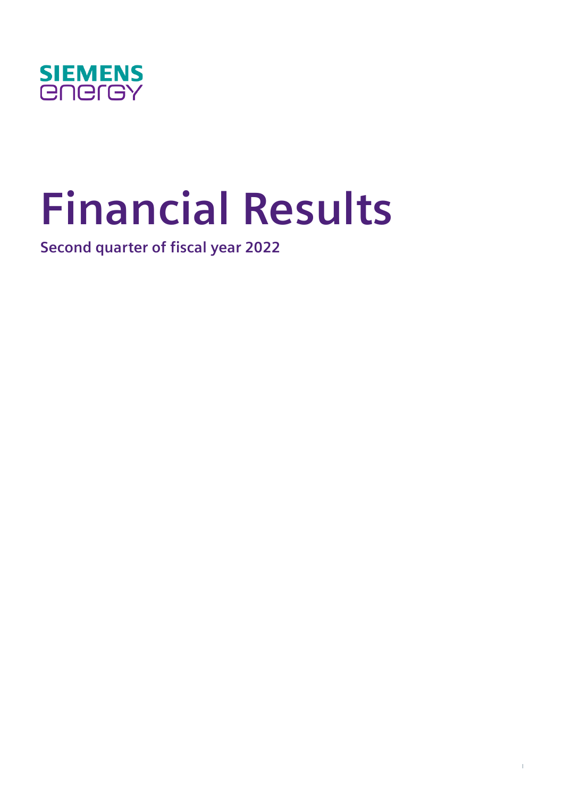

# **Financial Results**

**Second quarter of fiscal year 2022**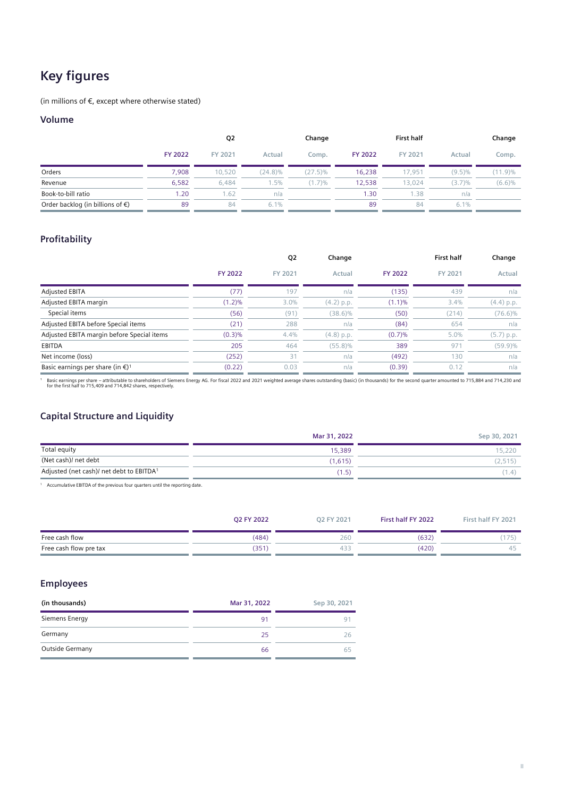# **Key figures**

(in millions of  $\epsilon$ , except where otherwise stated)

#### **Volume**

|                                            |                | Q <sub>2</sub> |            | Change     |                | <b>First half</b> |           | Change     |
|--------------------------------------------|----------------|----------------|------------|------------|----------------|-------------------|-----------|------------|
|                                            | <b>FY 2022</b> | FY 2021        | Actual     | Comp.      | <b>FY 2022</b> | FY 2021           | Actual    | Comp.      |
| Orders                                     | 7.908          | 10.520         | $(24.8)\%$ | $(27.5)\%$ | 16,238         | 17.951            | $(9.5)\%$ | $(11.9)\%$ |
| Revenue                                    | 6.582          | 6.484          | $1.5\%$    | (1.7)%     | 12,538         | 13.024            | (3.7)%    | (6.6)%     |
| Book-to-bill ratio                         | 1.20           | 1.62           | n/a        |            | 1.30           | 1.38              | n/a       |            |
| Order backlog (in billions of $\epsilon$ ) | 89             | 84             | 6.1%       |            | 89             | 84                | 6.1%      |            |

#### **Profitability**

|                                                        |                | Q2      | Change       |                | <b>First half</b> | Change       |
|--------------------------------------------------------|----------------|---------|--------------|----------------|-------------------|--------------|
|                                                        | <b>FY 2022</b> | FY 2021 | Actual       | <b>FY 2022</b> | FY 2021           | Actual       |
| <b>Adjusted EBITA</b>                                  | (77)           | 197     | n/a          | (135)          | 439               | n/a          |
| Adjusted EBITA margin                                  | $(1.2)\%$      | 3.0%    | $(4.2)$ p.p. | (1.1)%         | 3.4%              | (4.4) p.p.   |
| Special items                                          | (56)           | (91)    | $(38.6)\%$   | (50)           | (214)             | $(76.6)\%$   |
| Adjusted EBITA before Special items                    | (21)           | 288     | n/a          | (84)           | 654               | n/a          |
| Adjusted EBITA margin before Special items             | (0.3)%         | 4.4%    | $(4.8)$ p.p. | (0.7)%         | 5.0%              | $(5.7)$ p.p. |
| <b>EBITDA</b>                                          | 205            | 464     | $(55.8)\%$   | 389            | 97'               | $(59.9)\%$   |
| Net income (loss)                                      | (252)          | 31      | n/a          | (492)          | 130               | n/a          |
| Basic earnings per share (in $\epsilon$ ) <sup>1</sup> | (0.22)         | 0.03    | n/a          | (0.39)         | 0.12              | n/a          |

Pasic earnings per share – attributable to shareholders of Siemens Energy AG. For fiscal 2022 and 2021 weighted average shares outstanding (basic) (in thousands) for the second quarter amounted to 715,884 and 714,230 and 7

#### **Capital Structure and Liquidity**

|                                          | Mar 31, 2022 | Sep 30, 2021 |
|------------------------------------------|--------------|--------------|
| Total equity                             | 15,389       | 15,220       |
| (Net cash)/ net debt                     | (1.615)      | (2, 515)     |
| Adjusted (net cash)/ net debt to EBITDA1 | 1.5.         | (1.4)        |

<sup>1</sup> Accumulative EBITDA of the previous four quarters until the reporting date.

|                        | Q2 FY 2022 | O2 FY 2021 | First half FY 2022 | First half FY 2021 |
|------------------------|------------|------------|--------------------|--------------------|
| Free cash flow         | (484)      | 260        | (632)              | 175)               |
| Free cash flow pre tax | (351)      | 433        | (420)              | 45.                |

#### **Employees**

| (in thousands)  | Mar 31, 2022 | Sep 30, 2021   |
|-----------------|--------------|----------------|
| Siemens Energy  | 91           | Q <sub>1</sub> |
| Germany         | 25           | 26             |
| Outside Germany | 66           |                |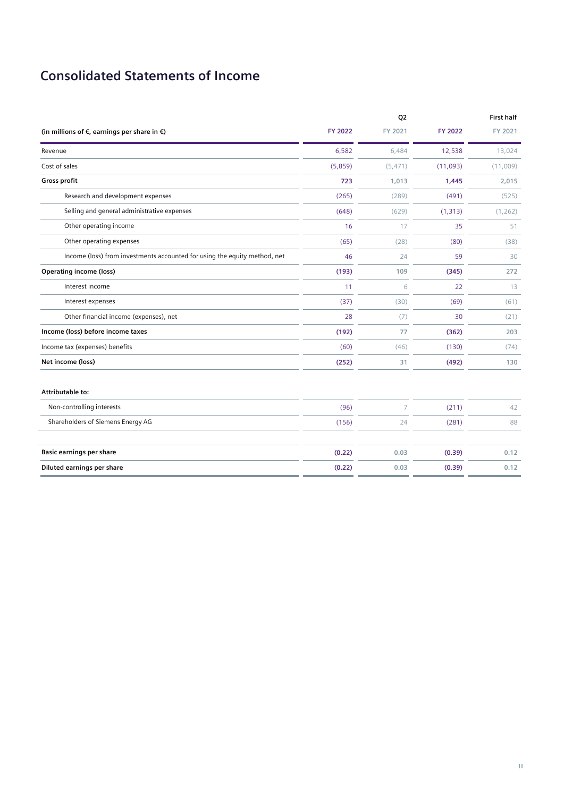# **Consolidated Statements of Income**

|                                                                           |         | Q2             |          | <b>First half</b> |
|---------------------------------------------------------------------------|---------|----------------|----------|-------------------|
| (in millions of $\epsilon$ , earnings per share in $\epsilon$ )           | FY 2022 | FY 2021        | FY 2022  | FY 2021           |
| Revenue                                                                   | 6,582   | 6,484          | 12,538   | 13,024            |
| Cost of sales                                                             | (5,859) | (5, 471)       | (11,093) | (11,009)          |
| Gross profit                                                              | 723     | 1,013          | 1,445    | 2,015             |
| Research and development expenses                                         | (265)   | (289)          | (491)    | (525)             |
| Selling and general administrative expenses                               | (648)   | (629)          | (1, 313) | (1, 262)          |
| Other operating income                                                    | 16      | 17             | 35       | 51                |
| Other operating expenses                                                  | (65)    | (28)           | (80)     | (38)              |
| Income (loss) from investments accounted for using the equity method, net | 46      | 24             | 59       | 30                |
| <b>Operating income (loss)</b>                                            | (193)   | 109            | (345)    | 272               |
| Interest income                                                           | 11      | 6              | 22       | 13                |
| Interest expenses                                                         | (37)    | (30)           | (69)     | (61)              |
| Other financial income (expenses), net                                    | 28      | (7)            | 30       | (21)              |
| Income (loss) before income taxes                                         | (192)   | 77             | (362)    | 203               |
| Income tax (expenses) benefits                                            | (60)    | (46)           | (130)    | (74)              |
| Net income (loss)                                                         | (252)   | 31             | (492)    | 130               |
| Attributable to:                                                          |         |                |          |                   |
| Non-controlling interests                                                 | (96)    | $\overline{7}$ | (211)    | 42                |
| Shareholders of Siemens Energy AG                                         | (156)   | 24             | (281)    | 88                |
| Basic earnings per share                                                  | (0.22)  | 0.03           | (0.39)   | 0.12              |
| Diluted earnings per share                                                | (0.22)  | 0.03           | (0.39)   | 0.12              |
|                                                                           |         |                |          |                   |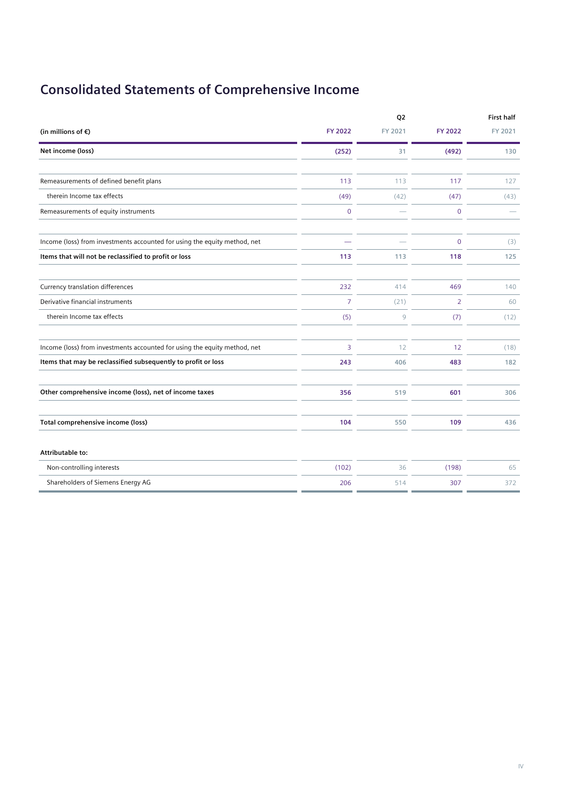# **Consolidated Statements of Comprehensive Income**

|                                                                           |             | Q <sub>2</sub> |                | <b>First half</b> |
|---------------------------------------------------------------------------|-------------|----------------|----------------|-------------------|
| (in millions of $\epsilon$ )                                              | FY 2022     | FY 2021        | <b>FY 2022</b> | FY 2021           |
| Net income (loss)                                                         | (252)       | 31             | (492)          | 130               |
|                                                                           |             |                |                |                   |
| Remeasurements of defined benefit plans                                   | 113         | 113            | 117            | 127               |
| therein Income tax effects                                                | (49)        | (42)           | (47)           | (43)              |
| Remeasurements of equity instruments                                      | $\mathbf 0$ |                | $\overline{0}$ |                   |
| Income (loss) from investments accounted for using the equity method, net |             |                | $\overline{0}$ | (3)               |
| Items that will not be reclassified to profit or loss                     | 113         | 113            | 118            | 125               |
| Currency translation differences                                          | 232         | 414            | 469            | 140               |
| Derivative financial instruments                                          | 7           | (21)           | $\overline{2}$ | 60                |
| therein Income tax effects                                                | (5)         | 9              | (7)            | (12)              |
| Income (loss) from investments accounted for using the equity method, net | 3           | 12             | 12             | (18)              |
| Items that may be reclassified subsequently to profit or loss             | 243         | 406            | 483            | 182               |
| Other comprehensive income (loss), net of income taxes                    | 356         | 519            | 601            | 306               |
| Total comprehensive income (loss)                                         | 104         | 550            | 109            | 436               |
| Attributable to:                                                          |             |                |                |                   |
| Non-controlling interests                                                 | (102)       | 36             | (198)          | 65                |
| Shareholders of Siemens Energy AG                                         | 206         | 514            | 307            | 372               |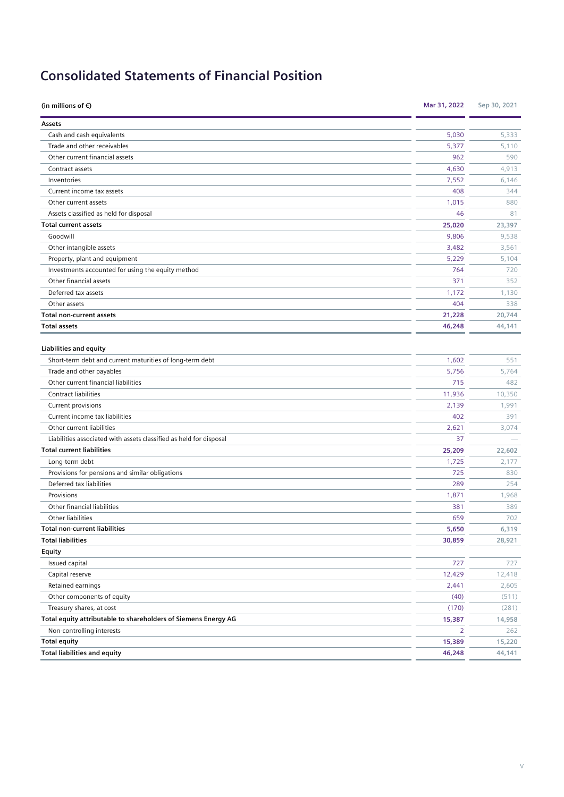# **Consolidated Statements of Financial Position**

| (in millions of $\epsilon$ )                                       | Mar 31, 2022 | Sep 30, 2021 |
|--------------------------------------------------------------------|--------------|--------------|
| Assets                                                             |              |              |
| Cash and cash equivalents                                          | 5,030        | 5,333        |
| Trade and other receivables                                        | 5,377        | 5,110        |
| Other current financial assets                                     | 962          | 590          |
| Contract assets                                                    | 4,630        | 4,913        |
| Inventories                                                        | 7,552        | 6,146        |
| Current income tax assets                                          | 408          | 344          |
| Other current assets                                               | 1,015        | 880          |
| Assets classified as held for disposal                             | 46           | 81           |
| <b>Total current assets</b>                                        | 25,020       | 23,397       |
| Goodwill                                                           | 9,806        | 9,538        |
| Other intangible assets                                            | 3,482        | 3,561        |
| Property, plant and equipment                                      | 5,229        | 5,104        |
| Investments accounted for using the equity method                  | 764          | 720          |
| Other financial assets                                             | 371          | 352          |
| Deferred tax assets                                                | 1,172        | 1,130        |
| Other assets                                                       | 404          | 338          |
| <b>Total non-current assets</b>                                    | 21,228       | 20,744       |
| <b>Total assets</b>                                                | 46,248       | 44,141       |
| <b>Liabilities and equity</b>                                      |              |              |
| Short-term debt and current maturities of long-term debt           | 1,602        | 551          |
| Trade and other payables                                           | 5,756        | 5,764        |
| Other current financial liabilities                                | 715          | 482          |
| Contract liabilities                                               | 11,936       | 10,350       |
| Current provisions                                                 | 2,139        | 1,991        |
| Current income tax liabilities                                     | 402          | 391          |
| Other current liabilities                                          | 2,621        | 3,074        |
| Liabilities associated with assets classified as held for disposal | 37           |              |
| <b>Total current liabilities</b>                                   | 25,209       | 22,602       |
| Long-term debt                                                     | 1,725        | 2,177        |
| Provisions for pensions and similar obligations                    | 725          | 830          |
| Deferred tax liabilities                                           | 289          | 254          |
| Provisions                                                         | 1,871        | 1,968        |
| Other financial liabilities                                        | 381          | 389          |
| Other liabilities                                                  | 659          | 702          |
| <b>Total non-current liabilities</b>                               | 5,650        | 6,319        |
| <b>Total liabilities</b>                                           | 30,859       | 28,921       |
| Equity                                                             |              |              |
| Issued capital                                                     | 727          | 727          |
| Capital reserve                                                    | 12,429       | 12,418       |
| Retained earnings                                                  | 2,441        | 2,605        |
| Other components of equity                                         | (40)         | (511)        |
| Treasury shares, at cost                                           | (170)        | (281)        |
| Total equity attributable to shareholders of Siemens Energy AG     | 15,387       | 14,958       |
| Non-controlling interests                                          | 2            | 262          |
| <b>Total equity</b>                                                | 15,389       | 15,220       |
| <b>Total liabilities and equity</b>                                | 46,248       | 44,141       |
|                                                                    |              |              |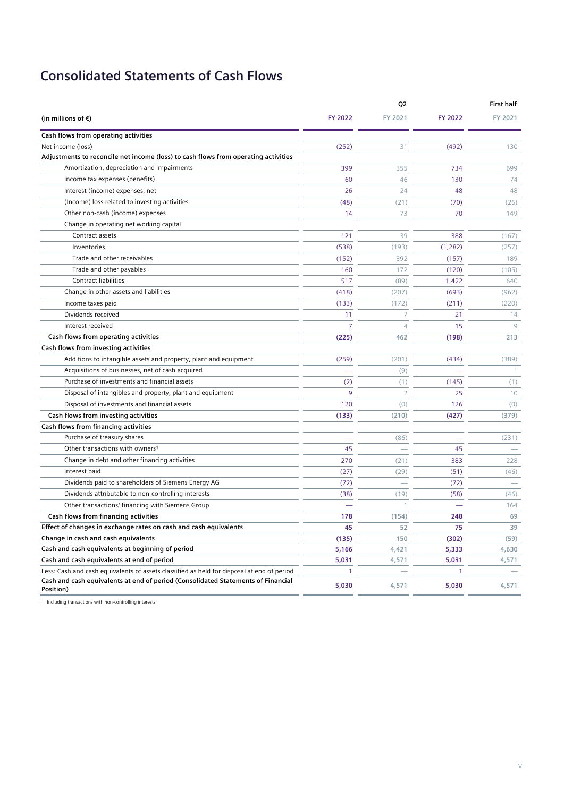# **Consolidated Statements of Cash Flows**

|                                                                                               |                | Q2             |              | <b>First half</b> |  |
|-----------------------------------------------------------------------------------------------|----------------|----------------|--------------|-------------------|--|
| (in millions of $\epsilon$ )                                                                  | FY 2022        | FY 2021        | FY 2022      | FY 2021           |  |
| Cash flows from operating activities                                                          |                |                |              |                   |  |
| Net income (loss)                                                                             | (252)          | 31             | (492)        | 130               |  |
| Adjustments to reconcile net income (loss) to cash flows from operating activities            |                |                |              |                   |  |
| Amortization, depreciation and impairments                                                    | 399            | 355            | 734          | 699               |  |
| Income tax expenses (benefits)                                                                | 60             | 46             | 130          | 74                |  |
| Interest (income) expenses, net                                                               | 26             | 24             | 48           | 48                |  |
| (Income) loss related to investing activities                                                 | (48)           | (21)           | (70)         | (26)              |  |
| Other non-cash (income) expenses                                                              | 14             | 73             | 70           | 149               |  |
| Change in operating net working capital                                                       |                |                |              |                   |  |
| Contract assets                                                                               | 121            | 39             | 388          | (167)             |  |
| Inventories                                                                                   | (538)          | (193)          | (1, 282)     | (257)             |  |
| Trade and other receivables                                                                   | (152)          | 392            | (157)        | 189               |  |
| Trade and other payables                                                                      | 160            | 172            | (120)        | (105)             |  |
| Contract liabilities                                                                          | 517            | (89)           | 1,422        | 640               |  |
| Change in other assets and liabilities                                                        | (418)          | (207)          | (693)        | (962)             |  |
| Income taxes paid                                                                             | (133)          | (172)          | (211)        | (220)             |  |
| Dividends received                                                                            | 11             | 7              | 21           | 14                |  |
| Interest received                                                                             | $\overline{7}$ | $\overline{4}$ | 15           | 9                 |  |
| Cash flows from operating activities                                                          | (225)          | 462            | (198)        | 213               |  |
| Cash flows from investing activities                                                          |                |                |              |                   |  |
| Additions to intangible assets and property, plant and equipment                              | (259)          | (201)          | (434)        | (389)             |  |
| Acquisitions of businesses, net of cash acquired                                              |                | (9)            |              | $\mathbf{1}$      |  |
| Purchase of investments and financial assets                                                  | (2)            | (1)            | (145)        | (1)               |  |
| Disposal of intangibles and property, plant and equipment                                     | 9              | $\overline{2}$ | 25           | 10                |  |
| Disposal of investments and financial assets                                                  | 120            | (0)            | 126          | (0)               |  |
| Cash flows from investing activities                                                          | (133)          | (210)          | (427)        | (379)             |  |
| Cash flows from financing activities                                                          |                |                |              |                   |  |
| Purchase of treasury shares                                                                   |                | (86)           |              | (231)             |  |
| Other transactions with owners <sup>1</sup>                                                   | 45             |                | 45           |                   |  |
| Change in debt and other financing activities                                                 | 270            | (21)           | 383          | 228               |  |
| Interest paid                                                                                 | (27)           | (29)           | (51)         | (46)              |  |
| Dividends paid to shareholders of Siemens Energy AG                                           | (72)           | $\sim$         | (72)         |                   |  |
| Dividends attributable to non-controlling interests                                           | (38)           | (19)           | (58)         | (46)              |  |
| Other transactions/ financing with Siemens Group                                              |                | $\mathbf{1}$   |              | 164               |  |
| Cash flows from financing activities                                                          | 178            | (154)          | 248          | 69                |  |
| Effect of changes in exchange rates on cash and cash equivalents                              | 45             | 52             | 75           | 39                |  |
| Change in cash and cash equivalents                                                           | (135)          | 150            | (302)        | (59)              |  |
| Cash and cash equivalents at beginning of period                                              | 5,166          | 4,421          | 5,333        | 4,630             |  |
| Cash and cash equivalents at end of period                                                    | 5,031          | 4,571          | 5,031        | 4,571             |  |
| Less: Cash and cash equivalents of assets classified as held for disposal at end of period    | $\mathbf{1}$   |                | $\mathbf{1}$ |                   |  |
| Cash and cash equivalents at end of period (Consolidated Statements of Financial<br>Position) | 5,030          | 4,571          | 5,030        | 4,571             |  |

 $^\mathrm{1}$  Including transactions with non-controlling interests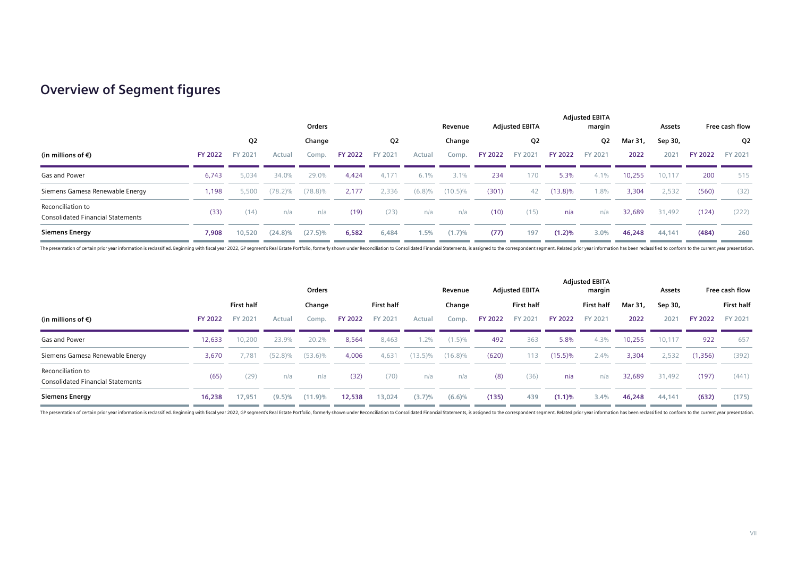## **Overview of Segment figures**

|                                                               | Orders         |         |            |            |                |         | <b>Adjusted EBITA</b><br>Revenue |            |                | <b>Adjusted EBITA</b><br>margin |                |         | Assets  | Free cash flow |                |                |
|---------------------------------------------------------------|----------------|---------|------------|------------|----------------|---------|----------------------------------|------------|----------------|---------------------------------|----------------|---------|---------|----------------|----------------|----------------|
|                                                               |                | Q2      |            | Change     |                | Q2      |                                  | Change     |                | Q2                              |                | Q2      | Mar 31, | Sep 30,        |                | Q <sub>2</sub> |
| (in millions of €)                                            | <b>FY 2022</b> | FY 2021 | Actual     | Comp.      | <b>FY 2022</b> | FY 2021 | Actual                           | Comp.      | <b>FY 2022</b> | FY 2021                         | <b>FY 2022</b> | FY 2021 | 2022    | 2021           | <b>FY 2022</b> | FY 2021        |
| Gas and Power                                                 | 6,743          | 5,034   | 34.0%      | 29.0%      | 4,424          | 4,171   | 6.1%                             | 3.1%       | 234            | 170                             | 5.3%           | 4.1%    | 10,255  | 10,117         | 200            | 515            |
| Siemens Gamesa Renewable Energy                               | 1,198          | 5,500   | $(78.2)\%$ | $(78.8)\%$ | 2,177          | 2,336   | (6.8)%                           | $(10.5)\%$ | (301)          | 42                              | $(13.8)\%$     | 1.8%    | 3,304   | 2,532          | (560)          | (32)           |
| Reconciliation to<br><b>Consolidated Financial Statements</b> | (33)           | (14)    | n/a        | n/a        | (19)           | (23)    | n/a                              | n/a        | (10)           | (15)                            | n/a            | n/a     | 32,689  | 31,492         | (124)          | (222)          |
| <b>Siemens Energy</b>                                         | 7,908          | 10,520  | $(24.8)\%$ | $(27.5)\%$ | 6,582          | 6,484   | 1.5%                             | (1.7)%     | (77)           | 197                             | (1.2)%         | 3.0%    | 46,248  | 44,141         | (484)          | 260            |

The presentation of certain prior year information is reclassified. Beginning with fiscal year 2022, GP segment's Real Estate Portfolio, formerly shown under Reconciliation to Consolidated Financial Statements, is assigned

|                                                               |                | Orders            |            |            |                |            |            | <b>Adjusted EBITA</b><br>Revenue |                |            |                | <b>Adjusted EBITA</b><br>margin |         |         | Free cash flow |                   |
|---------------------------------------------------------------|----------------|-------------------|------------|------------|----------------|------------|------------|----------------------------------|----------------|------------|----------------|---------------------------------|---------|---------|----------------|-------------------|
|                                                               |                | <b>First half</b> |            | Change     |                | First half |            | Change                           |                | First half |                | <b>First half</b>               | Mar 31, | Sep 30, |                | <b>First half</b> |
| (in millions of €)                                            | <b>FY 2022</b> | FY 2021           | Actual     | Comp.      | <b>FY 2022</b> | FY 2021    | Actual     | Comp.                            | <b>FY 2022</b> | FY 2021    | <b>FY 2022</b> | FY 2021                         | 2022    | 2021    | <b>FY 2022</b> | FY 2021           |
| Gas and Power                                                 | 12,633         | 10,200            | 23.9%      | 20.2%      | 8,564          | 8,463      | $1.2\%$    | $(1.5)\%$                        | 492            | 363        | 5.8%           | 4.3%                            | 10,255  | 10,117  | 922            | 657               |
| Siemens Gamesa Renewable Energy                               | 3,670          | 7.781             | $(52.8)\%$ | $(53.6)\%$ | 4,006          | 4,631      | $(13.5)\%$ | $(16.8)\%$                       | (620)          | 113        | $(15.5)\%$     | 2.4%                            | 3,304   | 2,532   | (1,356)        | (392)             |
| Reconciliation to<br><b>Consolidated Financial Statements</b> | (65)           | (29)              | n/a        | n/a        | (32)           | (70)       | n/a        | n/a                              | (8)            | (36)       | n/a            | n/a                             | 32,689  | 31,492  | (197)          | (441)             |
| <b>Siemens Energy</b>                                         | 16,238         | 17,951            | $(9.5)\%$  | $(11.9)\%$ | 12,538         | 13,024     | (3.7)%     | (6.6)%                           | (135)          | 439        | (1.1)%         | 3.4%                            | 46,248  | 44,141  | (632)          | (175)             |

The presentation of certain prior year information is reclassified. Beginning with fiscal year 2022, GP segment's Real Estate Portfolio, formerly shown under Reconciliation to Consolidated Financial Statements, is assigned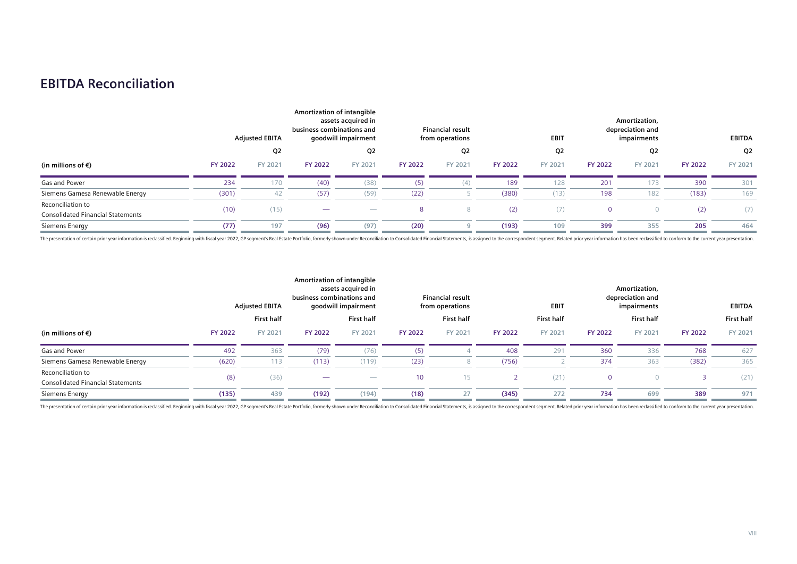## **EBITDA Reconciliation**

|                                                               |                | <b>Adjusted EBITA</b> | Amortization of intangible<br>business combinations and | assets acquired in<br>goodwill impairment |                | <b>Financial result</b><br>from operations |                | <b>EBIT</b> |                | Amortization,<br>depreciation and<br>impairments |                | <b>EBITDA</b>  |
|---------------------------------------------------------------|----------------|-----------------------|---------------------------------------------------------|-------------------------------------------|----------------|--------------------------------------------|----------------|-------------|----------------|--------------------------------------------------|----------------|----------------|
|                                                               |                | Q2                    |                                                         | Q2                                        |                | Q <sub>2</sub>                             |                | Q2          |                | Q <sub>2</sub>                                   |                | Q <sub>2</sub> |
| (in millions of $\epsilon$ )                                  | <b>FY 2022</b> | FY 2021               | <b>FY 2022</b>                                          | FY 2021                                   | <b>FY 2022</b> | FY 2021                                    | <b>FY 2022</b> | FY 2021     | <b>FY 2022</b> | FY 2021                                          | <b>FY 2022</b> | FY 2021        |
| Gas and Power                                                 | 234            | 170                   | (40)                                                    | (38)                                      | (5)            | (4)                                        | 189            | 128         | 201            | 173                                              | 390            | 301            |
| Siemens Gamesa Renewable Energy                               | (301)          |                       | (57)                                                    | (59)                                      | (22)           |                                            | (380)          | (13)        | 198            | 182                                              | (183)          | 169            |
| Reconciliation to<br><b>Consolidated Financial Statements</b> | (10)           | (15)                  |                                                         | $\overline{\phantom{a}}$                  | 8              | 8                                          | (2)            | (7)         |                |                                                  | (2)            | (7)            |
| Siemens Energy                                                | (77)           | 197                   | (96)                                                    | (97)                                      | (20)           |                                            | (193)          | 109         | 399            | 355                                              | 205            | 464            |

The presentation of certain prior year information is reclassified. Beginning with fiscal year 2022, GP segment's Real Estate Portfolio, formerly shown under Reconciliation to Consolidated Financial Statements, is assigned

|                                                               |                | <b>Adjusted EBITA</b> | Amortization of intangible<br>business combinations and | assets acquired in<br>goodwill impairment |                | <b>Financial result</b><br>from operations |                | <b>EBIT</b>       |                | Amortization,<br>depreciation and<br>impairments |                | <b>EBITDA</b>     |
|---------------------------------------------------------------|----------------|-----------------------|---------------------------------------------------------|-------------------------------------------|----------------|--------------------------------------------|----------------|-------------------|----------------|--------------------------------------------------|----------------|-------------------|
|                                                               |                | <b>First half</b>     |                                                         | <b>First half</b>                         |                | <b>First half</b>                          |                | <b>First half</b> |                | <b>First half</b>                                |                | <b>First half</b> |
| (in millions of $\epsilon$ )                                  | <b>FY 2022</b> | FY 2021               | <b>FY 2022</b>                                          | FY 2021                                   | <b>FY 2022</b> | FY 2021                                    | <b>FY 2022</b> | FY 2021           | <b>FY 2022</b> | FY 2021                                          | <b>FY 2022</b> | FY 2021           |
| Gas and Power                                                 | 492            | 363                   | (79)                                                    | (76)                                      | (5)            |                                            | 408            | 291               | 360            | 336                                              | 768            | 627               |
| Siemens Gamesa Renewable Energy                               | (620)          | 113                   | (113)                                                   | (119)                                     | (23)           |                                            | (756)          |                   | 374            | 363                                              | (382)          | 365               |
| Reconciliation to<br><b>Consolidated Financial Statements</b> | (8)            | (36)                  |                                                         | $\overline{\phantom{m}}$                  | 10             | 15                                         |                | (21)              | $\mathbf{0}$   |                                                  |                | (21)              |
| Siemens Energy                                                | (135)          | 439                   | (192)                                                   | (194)                                     | (18)           | 27                                         | (345)          | 272               | 734            | 699                                              | 389            | 971               |

The presentation of certain prior year information is reclassified. Beginning with fiscal year 2022, GP segment's Real Estate Portfolio, formerly shown under Reconciliation to Consolidated Financial Statements, is assigned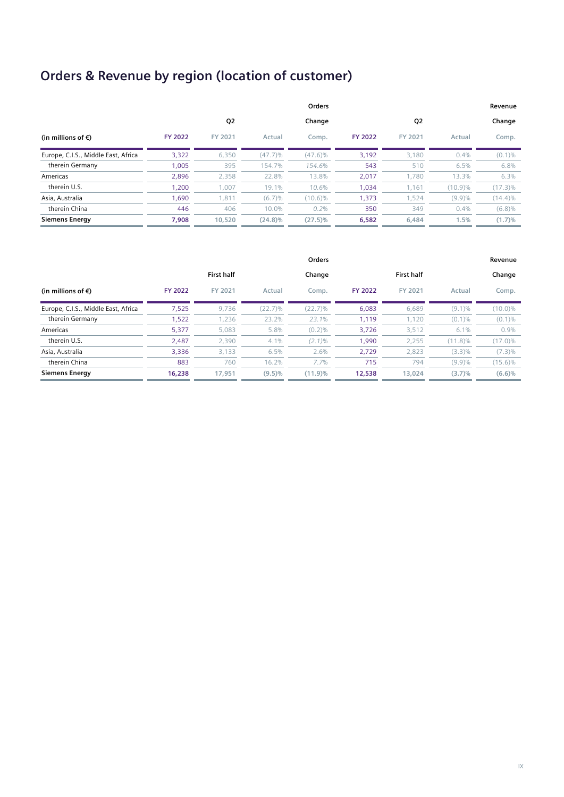# **Orders & Revenue by region (location of customer)**

|                                     |                |         |            | Orders     |                |                |         | Revenue    |
|-------------------------------------|----------------|---------|------------|------------|----------------|----------------|---------|------------|
|                                     |                | Q2      |            | Change     |                | Q <sub>2</sub> |         | Change     |
| (in millions of $\epsilon$ )        | <b>FY 2022</b> | FY 2021 | Actual     | Comp.      | <b>FY 2022</b> | FY 2021        | Actual  | Comp.      |
| Europe, C.I.S., Middle East, Africa | 3,322          | 6,350   | (47.7)%    | $(47.6)\%$ | 3,192          | 3,180          | 0.4%    | $(0.1)\%$  |
| therein Germany                     | 1,005          | 395     | 154.7%     | 154.6%     | 543            | 510            | 6.5%    | 6.8%       |
| Americas                            | 2,896          | 2,358   | 22.8%      | 13.8%      | 2,017          | 1,780          | 13.3%   | 6.3%       |
| therein U.S.                        | 1,200          | 1,007   | 19.1%      | 10.6%      | 1,034          | 1,161          | (10.9)% | $(17.3)\%$ |
| Asia, Australia                     | 1,690          | 1,811   | (6.7)%     | $(10.6)\%$ | 1,373          | 1,524          | (9.9)%  | $(14.4)\%$ |
| therein China                       | 446            | 406     | 10.0%      | 0.2%       | 350            | 349            | 0.4%    | $(6.8)\%$  |
| <b>Siemens Energy</b>               | 7.908          | 10,520  | $(24.8)\%$ | $(27.5)\%$ | 6,582          | 6,484          | 1.5%    | (1.7)%     |

|                                     |                |                   |         | Orders    |                |                   |            | Revenue    |
|-------------------------------------|----------------|-------------------|---------|-----------|----------------|-------------------|------------|------------|
|                                     |                | <b>First half</b> |         | Change    |                | <b>First half</b> |            | Change     |
| (in millions of $\epsilon$ )        | <b>FY 2022</b> | FY 2021           | Actual  | Comp.     | <b>FY 2022</b> | FY 2021           | Actual     | Comp.      |
| Europe, C.I.S., Middle East, Africa | 7,525          | 9,736             | (22.7)% | (22.7)%   | 6,083          | 6,689             | $(9.1)\%$  | $(10.0)\%$ |
| therein Germany                     | 1,522          | 1,236             | 23.2%   | 23.1%     | 1.119          | 1.120             | (0.1)%     | $(0.1)\%$  |
| Americas                            | 5,377          | 5,083             | 5.8%    | (0.2)%    | 3,726          | 3,512             | 6.1%       | 0.9%       |
| therein U.S.                        | 2,487          | 2,390             | 4.1%    | $(2.1)\%$ | 1,990          | 2,255             | $(11.8)\%$ | $(17.0)\%$ |
| Asia, Australia                     | 3,336          | 3,133             | 6.5%    | 2.6%      | 2,729          | 2,823             | (3.3)%     | $(7.3)\%$  |
| therein China                       | 883            | 760               | 16.2%   | $7.7\%$   | 715            | 794               | (9.9)%     | $(15.6)\%$ |
| <b>Siemens Energy</b>               | 16,238         | 17,951            | (9.5)%  | (11.9)%   | 12,538         | 13,024            | (3.7)%     | (6.6)%     |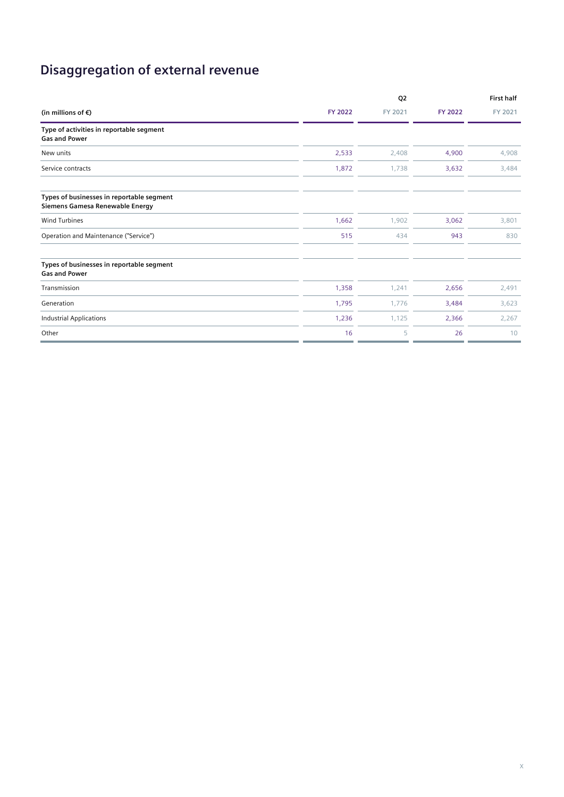# **Disaggregation of external revenue**

|                                                                              |                | Q <sub>2</sub> |                | <b>First half</b> |
|------------------------------------------------------------------------------|----------------|----------------|----------------|-------------------|
| (in millions of $\epsilon$ )                                                 | <b>FY 2022</b> | FY 2021        | <b>FY 2022</b> | FY 2021           |
| Type of activities in reportable segment<br><b>Gas and Power</b>             |                |                |                |                   |
| New units                                                                    | 2,533          | 2,408          | 4,900          | 4,908             |
| Service contracts                                                            | 1,872          | 1,738          | 3,632          | 3,484             |
| Types of businesses in reportable segment<br>Siemens Gamesa Renewable Energy |                |                |                |                   |
| <b>Wind Turbines</b>                                                         | 1,662          | 1,902          | 3,062          | 3,801             |
| Operation and Maintenance ("Service")                                        | 515            | 434            | 943            | 830               |
| Types of businesses in reportable segment<br><b>Gas and Power</b>            |                |                |                |                   |
| Transmission                                                                 | 1,358          | 1,241          | 2,656          | 2,491             |
| Generation                                                                   | 1,795          | 1,776          | 3,484          | 3,623             |
| <b>Industrial Applications</b>                                               | 1,236          | 1,125          | 2,366          | 2,267             |
| Other                                                                        | 16             | 5              | 26             | 10                |